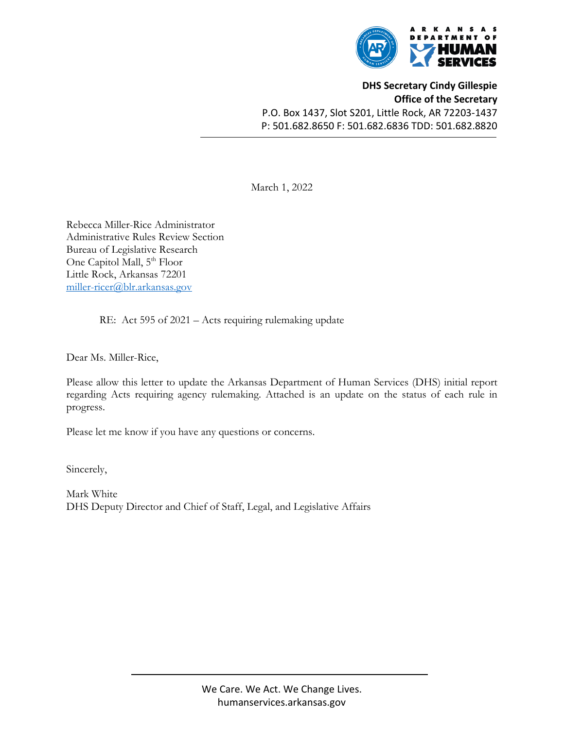

**DHS Secretary Cindy Gillespie Office of the Secretary** P.O. Box 1437, Slot S201, Little Rock, AR 72203-1437 P: 501.682.8650 F: 501.682.6836 TDD: 501.682.8820

March 1, 2022

Rebecca Miller-Rice Administrator Administrative Rules Review Section Bureau of Legislative Research One Capitol Mall, 5<sup>th</sup> Floor Little Rock, Arkansas 72201 [miller-ricer@blr.arkansas.gov](mailto:miller-ricer@blr.arkansas.gov)

RE: Act 595 of 2021 – Acts requiring rulemaking update

Dear Ms. Miller-Rice,

Please allow this letter to update the Arkansas Department of Human Services (DHS) initial report regarding Acts requiring agency rulemaking. Attached is an update on the status of each rule in progress.

Please let me know if you have any questions or concerns.

Sincerely,

Mark White DHS Deputy Director and Chief of Staff, Legal, and Legislative Affairs